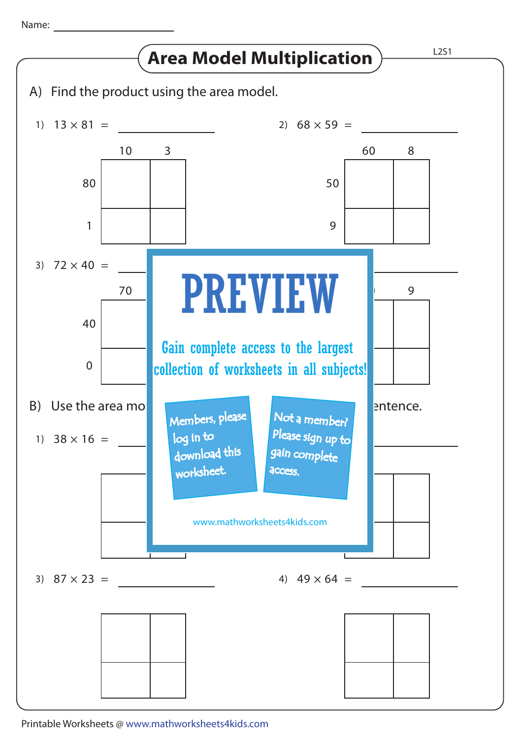